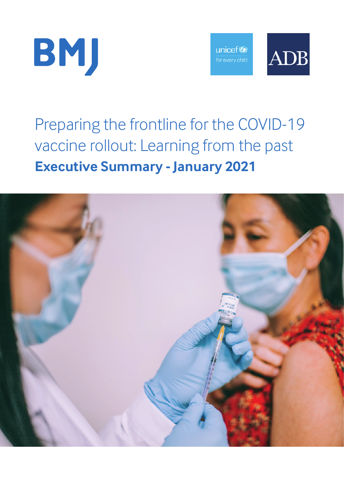



# Preparing the frontline for the COVID-19 vaccine rollout: Learning from the past **Executive Summary - January 2021**

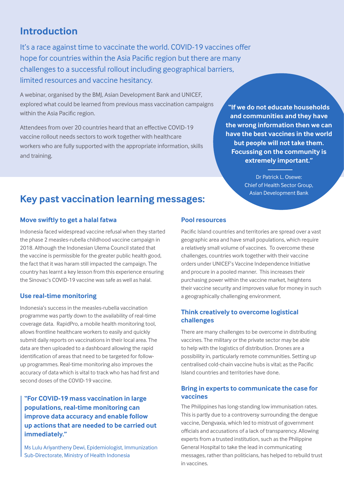# **Introduction**

It's a race against time to vaccinate the world. COVID-19 vaccines offer hope for countries within the Asia Pacific region but there are many challenges to a successful rollout including geographical barriers, limited resources and vaccine hesitancy.

A webinar, organised by the BMJ, Asian Development Bank and UNICEF, explored what could be learned from previous mass vaccination campaigns within the Asia Pacific region.

Attendees from over 20 countries heard that an effective COVID-19 vaccine rollout needs sectors to work together with healthcare workers who are fully supported with the appropriate information, skills and training.

**"If we do not educate households and communities and they have the wrong information then we can have the best vaccines in the world but people will not take them. Focussing on the community is extremely important."**

> Dr Patrick L. Osewe: Chief of Health Sector Group, Asian Development Bank

# **Key past vaccination learning messages:**

## **Move swiftly to get a halal fatwa**

Indonesia faced widespread vaccine refusal when they started the phase 2 measles-rubella childhood vaccine campaign in 2018. Although the Indonesian Ulema Council stated that the vaccine is permissible for the greater public health good, the fact that it was haram still impacted the campaign. The country has learnt a key lesson from this experience ensuring the Sinovac's COVID-19 vaccine was safe as well as halal.

## **Use real-time monitoring**

Indonesia's success in the measles-rubella vaccination programme was partly down to the availability of real-time coverage data. RapidPro, a mobile health monitoring tool, allows frontline healthcare workers to easily and quickly submit daily reports on vaccinations in their local area. The data are then uploaded to a dashboard allowing the rapid identification of areas that need to be targeted for followup programmes. Real-time monitoring also improves the accuracy of data which is vital to track who has had first and second doses of the COVID-19 vaccine.

**"For COVID-19 mass vaccination in large populations, real-time monitoring can improve data accuracy and enable follow up actions that are needed to be carried out immediately."** 

Ms Lulu Ariyantheny Dewi, Epidemiologist, Immunization Sub-Directorate, Ministry of Health Indonesia

## **Pool resources**

Pacific Island countries and territories are spread over a vast geographic area and have small populations, which require a relatively small volume of vaccines. To overcome these challenges, countries work together with their vaccine orders under UNICEF's Vaccine Independence Initiative and procure in a pooled manner. This increases their purchasing power within the vaccine market, heightens their vaccine security and improves value for money in such a geographically challenging environment.

## **Think creatively to overcome logistical challenges**

There are many challenges to be overcome in distributing vaccines. The military or the private sector may be able to help with the logistics of distribution. Drones are a possibility in, particularly remote communities. Setting up centralised cold-chain vaccine hubs is vital; as the Pacific Island countries and territories have done.

## **Bring in experts to communicate the case for vaccines**

The Philippines has long-standing low immunisation rates. This is partly due to a controversy surrounding the dengue vaccine, Dengvaxia, which led to mistrust of government officials and accusations of a lack of transparency. Allowing experts from a trusted institution, such as the Philippine General Hospital to take the lead in communicating messages, rather than politicians, has helped to rebuild trust in vaccines.